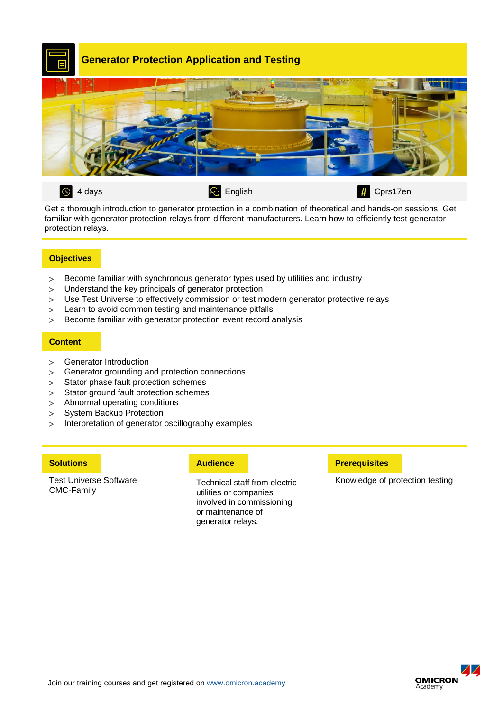

Get a thorough introduction to generator protection in a combination of theoretical and hands-on sessions. Get familiar with generator protection relays from different manufacturers. Learn how to efficiently test generator protection relays.

# **Objectives**

- Become familiar with synchronous generator types used by utilities and industry
- Understand the key principals of generator protection
- Use Test Universe to effectively commission or test modern generator protective relays
- Learn to avoid common testing and maintenance pitfalls
- Become familiar with generator protection event record analysis

## **Content**

- Generator Introduction
- Generator grounding and protection connections
- > Stator phase fault protection schemes
- > Stator ground fault protection schemes
- Abnormal operating conditions
- > System Backup Protection
- > Interpretation of generator oscillography examples

Test Universe Software CMC-Family

Technical staff from electric utilities or companies involved in commissioning or maintenance of generator relays.

### **Solutions Preference Preference Preference <b>Preference Prerequisites**

Knowledge of protection testing

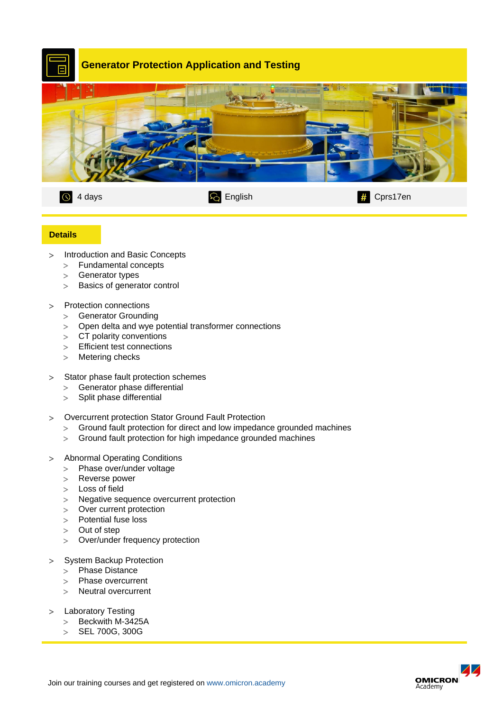

## **Details**

- > Introduction and Basic Concepts
	- Fundamental concepts
	- > Generator types
	- > Basics of generator control
- > Protection connections
	- > Generator Grounding
	- Open delta and wye potential transformer connections
	- > CT polarity conventions
	- > Efficient test connections
	- > Metering checks
- > Stator phase fault protection schemes
	- Generator phase differential
	- $>$  Split phase differential
- Overcurrent protection Stator Ground Fault Protection
	- Ground fault protection for direct and low impedance grounded machines
	- Ground fault protection for high impedance grounded machines
- Abnormal Operating Conditions
	- > Phase over/under voltage
	- Reverse power
	- Loss of field
	- > Negative sequence overcurrent protection
	- > Over current protection
	- > Potential fuse loss
	- > Out of step
	- Over/under frequency protection
- > System Backup Protection
	- > Phase Distance
	- > Phase overcurrent
	- > Neutral overcurrent
- > Laboratory Testing
	- $>$  Beckwith M-3425A
	- SEL 700G, 300G